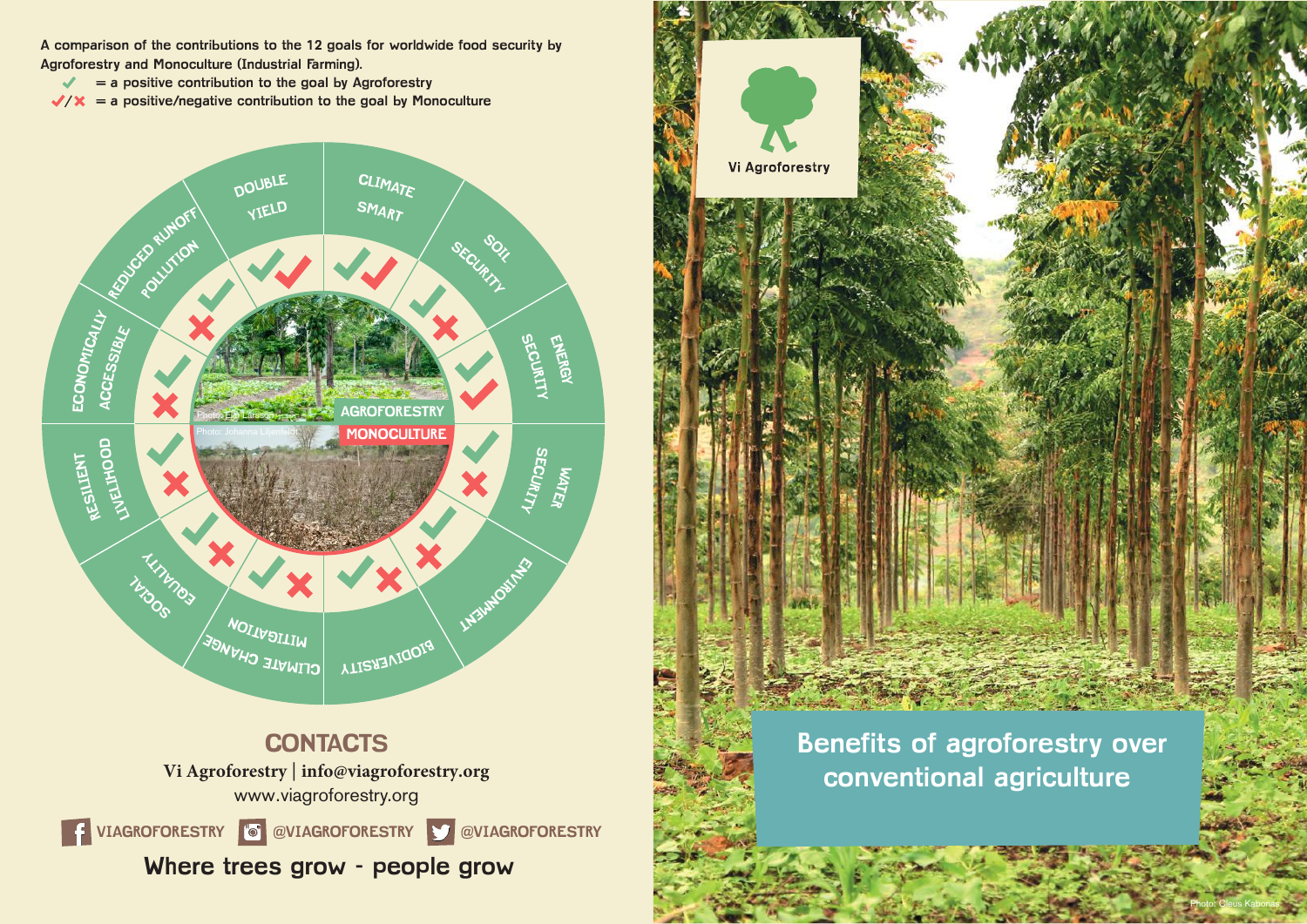**A comparison of the contributions to the 12 goals for worldwide food security by Agroforestry and Monoculture (Industrial Farming).** 

- **= a positive contribution to the goal by Agroforestry**  $\mathcal{L}$
- $\sqrt{x}$  = a positive/negative contribution to the goal by Monoculture





Photo: Cleus Kabonas